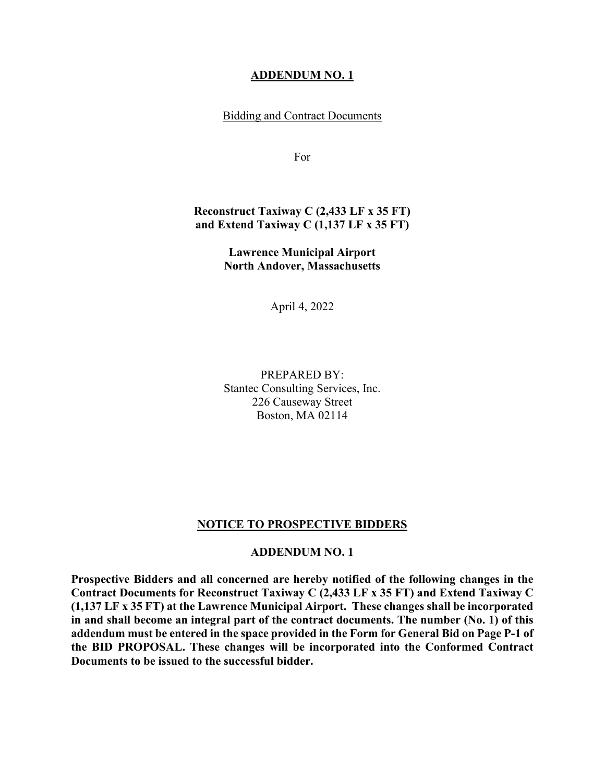#### **ADDENDUM NO. 1**

Bidding and Contract Documents

For

#### **Reconstruct Taxiway C (2,433 LF x 35 FT) and Extend Taxiway C (1,137 LF x 35 FT)**

**Lawrence Municipal Airport North Andover, Massachusetts**

April 4, 2022

PREPARED BY: Stantec Consulting Services, Inc. 226 Causeway Street Boston, MA 02114

#### **NOTICE TO PROSPECTIVE BIDDERS**

#### **ADDENDUM NO. 1**

**Prospective Bidders and all concerned are hereby notified of the following changes in the Contract Documents for Reconstruct Taxiway C (2,433 LF x 35 FT) and Extend Taxiway C (1,137 LF x 35 FT) at the Lawrence Municipal Airport. These changes shall be incorporated in and shall become an integral part of the contract documents. The number (No. 1) of this addendum must be entered in the space provided in the Form for General Bid on Page P-1 of the BID PROPOSAL. These changes will be incorporated into the Conformed Contract Documents to be issued to the successful bidder.**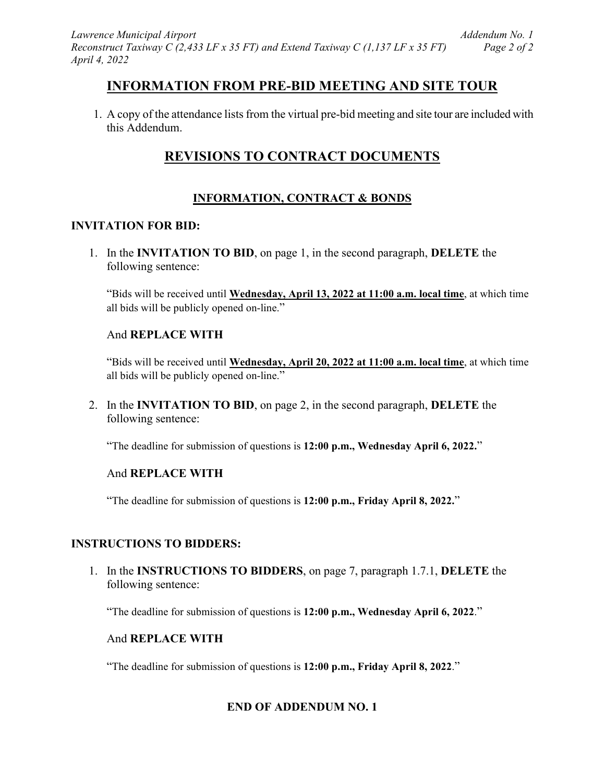# **INFORMATION FROM PRE-BID MEETING AND SITE TOUR**

1. A copy of the attendance lists from the virtual pre-bid meeting and site tour are included with this Addendum.

# **REVISIONS TO CONTRACT DOCUMENTS**

## **INFORMATION, CONTRACT & BONDS**

## **INVITATION FOR BID:**

1. In the **INVITATION TO BID**, on page 1, in the second paragraph, **DELETE** the following sentence:

"Bids will be received until **Wednesday, April 13, 2022 at 11:00 a.m. local time**, at which time all bids will be publicly opened on-line."

## And **REPLACE WITH**

"Bids will be received until **Wednesday, April 20, 2022 at 11:00 a.m. local time**, at which time all bids will be publicly opened on-line."

2. In the **INVITATION TO BID**, on page 2, in the second paragraph, **DELETE** the following sentence:

"The deadline for submission of questions is **12:00 p.m., Wednesday April 6, 2022.**"

## And **REPLACE WITH**

"The deadline for submission of questions is **12:00 p.m., Friday April 8, 2022.**"

## **INSTRUCTIONS TO BIDDERS:**

1. In the **INSTRUCTIONS TO BIDDERS**, on page 7, paragraph 1.7.1, **DELETE** the following sentence:

"The deadline for submission of questions is **12:00 p.m., Wednesday April 6, 2022**."

#### And **REPLACE WITH**

"The deadline for submission of questions is **12:00 p.m., Friday April 8, 2022**."

## **END OF ADDENDUM NO. 1**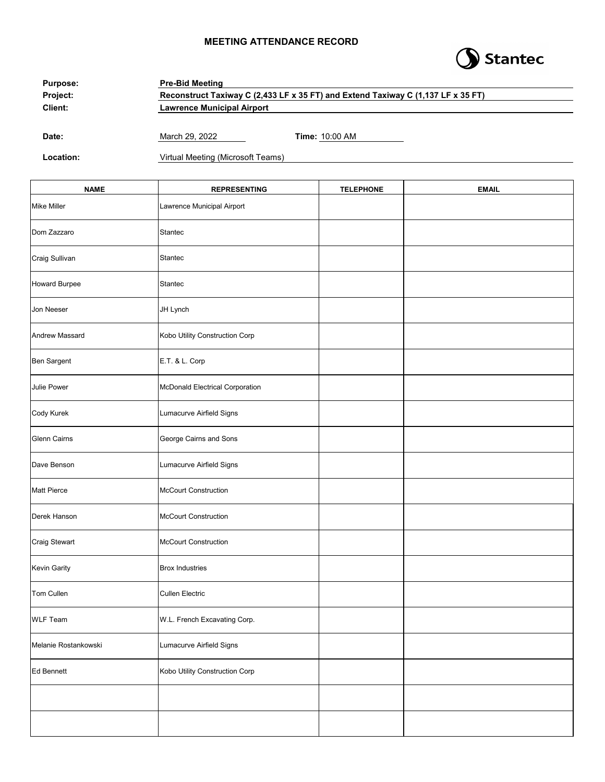#### **MEETING ATTENDANCE RECORD**



| <b>Purpose:</b> | <b>Pre-Bid Meeting</b><br>Reconstruct Taxiway C (2,433 LF x 35 FT) and Extend Taxiway C (1,137 LF x 35 FT)<br><b>Lawrence Municipal Airport</b> |                       |  |
|-----------------|-------------------------------------------------------------------------------------------------------------------------------------------------|-----------------------|--|
| Project:        |                                                                                                                                                 |                       |  |
| Client:         |                                                                                                                                                 |                       |  |
|                 |                                                                                                                                                 |                       |  |
| Date:           | March 29, 2022                                                                                                                                  | <b>Time: 10:00 AM</b> |  |

**Location:** Virtual Meeting (Microsoft Teams)

| <b>NAME</b>          | <b>REPRESENTING</b>             | <b>TELEPHONE</b> | <b>EMAIL</b> |
|----------------------|---------------------------------|------------------|--------------|
| <b>Mike Miller</b>   | Lawrence Municipal Airport      |                  |              |
| Dom Zazzaro          | Stantec                         |                  |              |
| Craig Sullivan       | Stantec                         |                  |              |
| <b>Howard Burpee</b> | Stantec                         |                  |              |
| Jon Neeser           | JH Lynch                        |                  |              |
| Andrew Massard       | Kobo Utility Construction Corp  |                  |              |
| Ben Sargent          | E.T. & L. Corp                  |                  |              |
| Julie Power          | McDonald Electrical Corporation |                  |              |
| Cody Kurek           | Lumacurve Airfield Signs        |                  |              |
| <b>Glenn Cairns</b>  | George Cairns and Sons          |                  |              |
| Dave Benson          | Lumacurve Airfield Signs        |                  |              |
| <b>Matt Pierce</b>   | McCourt Construction            |                  |              |
| Derek Hanson         | McCourt Construction            |                  |              |
| Craig Stewart        | <b>McCourt Construction</b>     |                  |              |
| Kevin Garity         | <b>Brox Industries</b>          |                  |              |
| Tom Cullen           | <b>Cullen Electric</b>          |                  |              |
| <b>WLF Team</b>      | W.L. French Excavating Corp.    |                  |              |
| Melanie Rostankowski | Lumacurve Airfield Signs        |                  |              |
| <b>Ed Bennett</b>    | Kobo Utility Construction Corp  |                  |              |
|                      |                                 |                  |              |
|                      |                                 |                  |              |